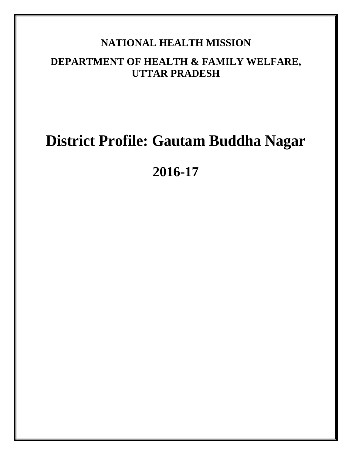# **NATIONAL HEALTH MISSION**

# **DEPARTMENT OF HEALTH & FAMILY WELFARE, UTTAR PRADESH**

# **District Profile: Gautam Buddha Nagar**

**2016-17**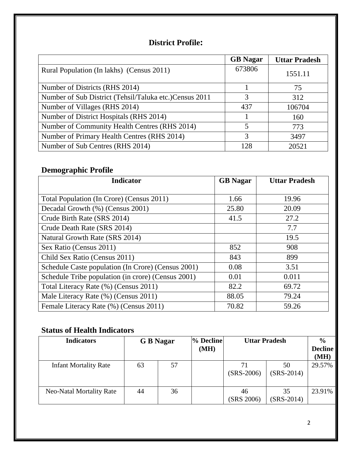## **District Profile:**

|                                                         | <b>GB</b> Nagar          | <b>Uttar Pradesh</b> |
|---------------------------------------------------------|--------------------------|----------------------|
| Rural Population (In lakhs) (Census 2011)               | 673806                   | 1551.11              |
| Number of Districts (RHS 2014)                          |                          | 75                   |
| Number of Sub District (Tehsil/Taluka etc.) Census 2011 | 3                        | 312                  |
| Number of Villages (RHS 2014)                           | 437                      | 106704               |
| Number of District Hospitals (RHS 2014)                 |                          | 160                  |
| Number of Community Health Centres (RHS 2014)           | $\overline{\mathcal{L}}$ | 773                  |
| Number of Primary Health Centres (RHS 2014)             | 3                        | 3497                 |
| Number of Sub Centres (RHS 2014)                        | 128                      | 20521                |

## **Demographic Profile**

| <b>Indicator</b>                                   | <b>GB</b> Nagar | <b>Uttar Pradesh</b> |
|----------------------------------------------------|-----------------|----------------------|
|                                                    |                 |                      |
| Total Population (In Crore) (Census 2011)          | 1.66            | 19.96                |
| Decadal Growth (%) (Census 2001)                   | 25.80           | 20.09                |
| Crude Birth Rate (SRS 2014)                        | 41.5            | 27.2                 |
| Crude Death Rate (SRS 2014)                        |                 | 7.7                  |
| Natural Growth Rate (SRS 2014)                     |                 | 19.5                 |
| Sex Ratio (Census 2011)                            | 852             | 908                  |
| Child Sex Ratio (Census 2011)                      | 843             | 899                  |
| Schedule Caste population (In Crore) (Census 2001) | 0.08            | 3.51                 |
| Schedule Tribe population (in crore) (Census 2001) | 0.01            | 0.011                |
| Total Literacy Rate (%) (Census 2011)              | 82.2            | 69.72                |
| Male Literacy Rate (%) (Census 2011)               | 88.05           | 79.24                |
| Female Literacy Rate (%) (Census 2011)             | 70.82           | 59.26                |

## **Status of Health Indicators**

| <b>Indicators</b>               |    | <b>G</b> B Nagar | % Decline<br>(MH) | <b>Uttar Pradesh</b> |                    | $\frac{6}{9}$<br><b>Decline</b><br>(MH) |
|---------------------------------|----|------------------|-------------------|----------------------|--------------------|-----------------------------------------|
| <b>Infant Mortality Rate</b>    | 63 | 57               |                   | 71<br>$(SRS-2006)$   | 50<br>$(SRS-2014)$ | 29.57%                                  |
| <b>Neo-Natal Mortality Rate</b> | 44 | 36               |                   | 46<br>(SRS 2006)     | 35<br>$(SRS-2014)$ | 23.91%                                  |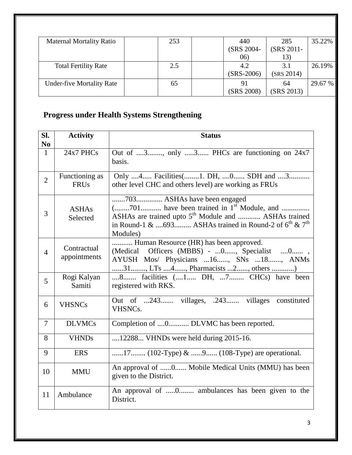| <b>Maternal Mortality Ratio</b>  | 253 | 440          | 285        | 35.22%  |
|----------------------------------|-----|--------------|------------|---------|
|                                  |     | (SRS 2004-   | (SRS 2011- |         |
|                                  |     | 06)          | 13)        |         |
| <b>Total Fertility Rate</b>      | 2.5 | 4.2          | 3.1        | 26.19%  |
|                                  |     | $(SRS-2006)$ | (SRS 2014) |         |
| <b>Under-five Mortality Rate</b> | 65  | 91           | 64         | 29.67 % |
|                                  |     | (SRS 2008)   | (SRS 2013) |         |

# **Progress under Health Systems Strengthening**

| SI.<br>N <sub>0</sub> | <b>Activity</b>               | <b>Status</b>                                                                                                                                                                                                                     |  |  |  |  |
|-----------------------|-------------------------------|-----------------------------------------------------------------------------------------------------------------------------------------------------------------------------------------------------------------------------------|--|--|--|--|
| $\mathbf{1}$          | 24x7 PHCs                     | Out of 3, only 3 PHCs are functioning on 24x7<br>basis.                                                                                                                                                                           |  |  |  |  |
| $\overline{2}$        | Functioning as<br><b>FRUs</b> | Only 4 Facilities(1. DH, 0 SDH and 3<br>other level CHC and others level) are working as FRUs                                                                                                                                     |  |  |  |  |
| 3                     | <b>ASHAs</b><br>Selected      | 703 ASHAs have been engaged<br>$($ 701 have been trained in $1st$ Module, and<br>ASHAs are trained upto 5 <sup>th</sup> Module and  ASHAs trained<br>in Round-1 & 693 ASHAs trained in Round-2 of $6^{th}$ & $7^{th}$<br>Modules) |  |  |  |  |
| $\overline{4}$        | Contractual<br>appointments   | Human Resource (HR) has been approved.<br>(Medical Officers (MBBS) -  0, Specialist  0,<br>AYUSH Mos/ Physicians  16, SNs  18, ANMs<br>31, LTs 4, Pharmacists 2, others )                                                         |  |  |  |  |
| 5                     | Rogi Kalyan<br>Samiti         | 8 facilities (1 DH, 7 CHCs) have been<br>registered with RKS.                                                                                                                                                                     |  |  |  |  |
| 6                     | <b>VHSNCs</b>                 | Out of 243 villages, .243 villages constituted<br>VHSNC <sub>s</sub> .                                                                                                                                                            |  |  |  |  |
| $\tau$                | <b>DLVMCs</b>                 | Completion of 0 DLVMC has been reported.                                                                                                                                                                                          |  |  |  |  |
| 8                     | <b>VHNDs</b>                  | 12288 VHNDs were held during 2015-16.                                                                                                                                                                                             |  |  |  |  |
| 9                     | <b>ERS</b>                    | 17 (102-Type) & 9 (108-Type) are operational.                                                                                                                                                                                     |  |  |  |  |
| 10                    | <b>MMU</b>                    | An approval of 0 Mobile Medical Units (MMU) has been<br>given to the District.                                                                                                                                                    |  |  |  |  |
| 11                    | Ambulance                     | An approval of 0 ambulances has been given to the<br>District.                                                                                                                                                                    |  |  |  |  |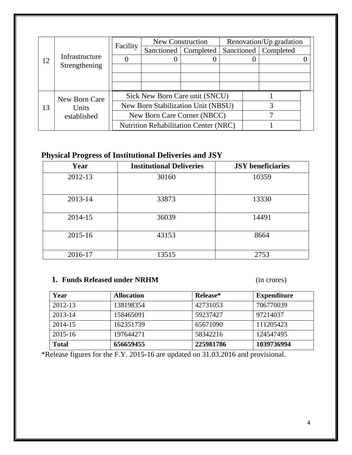|    |                | Facility                    | New Construction                                                     |                        |  | Renovation/Up gradation |  |
|----|----------------|-----------------------------|----------------------------------------------------------------------|------------------------|--|-------------------------|--|
|    |                |                             |                                                                      | Sanctioned   Completed |  | Sanctioned   Completed  |  |
| 12 | Infrastructure |                             |                                                                      |                        |  |                         |  |
|    | Strengthening  |                             |                                                                      |                        |  |                         |  |
|    |                |                             |                                                                      |                        |  |                         |  |
|    |                |                             |                                                                      |                        |  |                         |  |
|    | New Born Care  |                             | Sick New Born Care unit (SNCU)<br>New Born Stabilization Unit (NBSU) |                        |  |                         |  |
| 13 | Units          |                             |                                                                      |                        |  |                         |  |
|    | established    | New Born Care Corner (NBCC) |                                                                      |                        |  |                         |  |
|    |                |                             | <b>Nutrition Rehabilitation Center (NRC)</b>                         |                        |  |                         |  |

## **Physical Progress of Institutional Deliveries and JSY**

| Year    | <b>Institutional Deliveries</b> | <b>JSY</b> beneficiaries |
|---------|---------------------------------|--------------------------|
| 2012-13 | 30160                           | 10359                    |
| 2013-14 | 33873                           | 13330                    |
| 2014-15 | 36039                           | 14491                    |
| 2015-16 | 43153                           | 8664                     |
| 2016-17 | 13515                           | 2753                     |

## **1. Funds Released under NRHM** (in crores)

| Year         | <b>Allocation</b> | Release*  | <b>Expenditure</b> |
|--------------|-------------------|-----------|--------------------|
| 2012-13      | 138198354         | 42731053  | 706770039          |
| 2013-14      | 158465091         | 59237427  | 97214037           |
| 2014-15      | 162351739         | 65671090  | 111205423          |
| $2015 - 16$  | 197644271         | 58342216  | 124547495          |
| <b>Total</b> | 656659455         | 225981786 | 1039736994         |

\*Release figures for the F.Y. 2015-16 are updated on 31.03.2016 and provisional.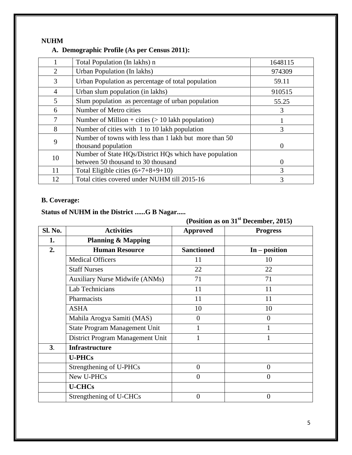#### **NUHM**

#### **A. Demographic Profile (As per Census 2011):**

| 1648115  |
|----------|
|          |
| 974309   |
| 59.11    |
| 910515   |
| 55.25    |
| 3        |
|          |
| 3        |
| $\theta$ |
| $\Omega$ |
| 3        |
| 3        |
|          |

#### **B. Coverage:**

## **Status of NUHM in the District ......G B Nagar.....**

**(Position as on 31st December, 2015)**

| Sl. No.        | <b>Activities</b>                     | <b>Approved</b>   | <b>Progress</b> |
|----------------|---------------------------------------|-------------------|-----------------|
| 1.             | <b>Planning &amp; Mapping</b>         |                   |                 |
| 2.             | <b>Human Resource</b>                 | <b>Sanctioned</b> | $In - position$ |
|                | <b>Medical Officers</b>               | 11                | 10              |
|                | <b>Staff Nurses</b>                   | 22                | 22              |
|                | <b>Auxiliary Nurse Midwife (ANMs)</b> | 71                | 71              |
|                | Lab Technicians                       | 11                | 11              |
|                | Pharmacists                           | 11                | 11              |
|                | <b>ASHA</b>                           | 10                | 10              |
|                | Mahila Arogya Samiti (MAS)            | $\theta$          | $\overline{0}$  |
|                | <b>State Program Management Unit</b>  |                   |                 |
|                | District Program Management Unit      |                   |                 |
| 3 <sub>1</sub> | <b>Infrastructure</b>                 |                   |                 |
|                | <b>U-PHCs</b>                         |                   |                 |
|                | Strengthening of U-PHCs               | $\overline{0}$    | $\overline{0}$  |
|                | New U-PHCs                            | $\overline{0}$    | $\overline{0}$  |
|                | <b>U-CHCs</b>                         |                   |                 |
|                | Strengthening of U-CHCs               | $\overline{0}$    | $\overline{0}$  |